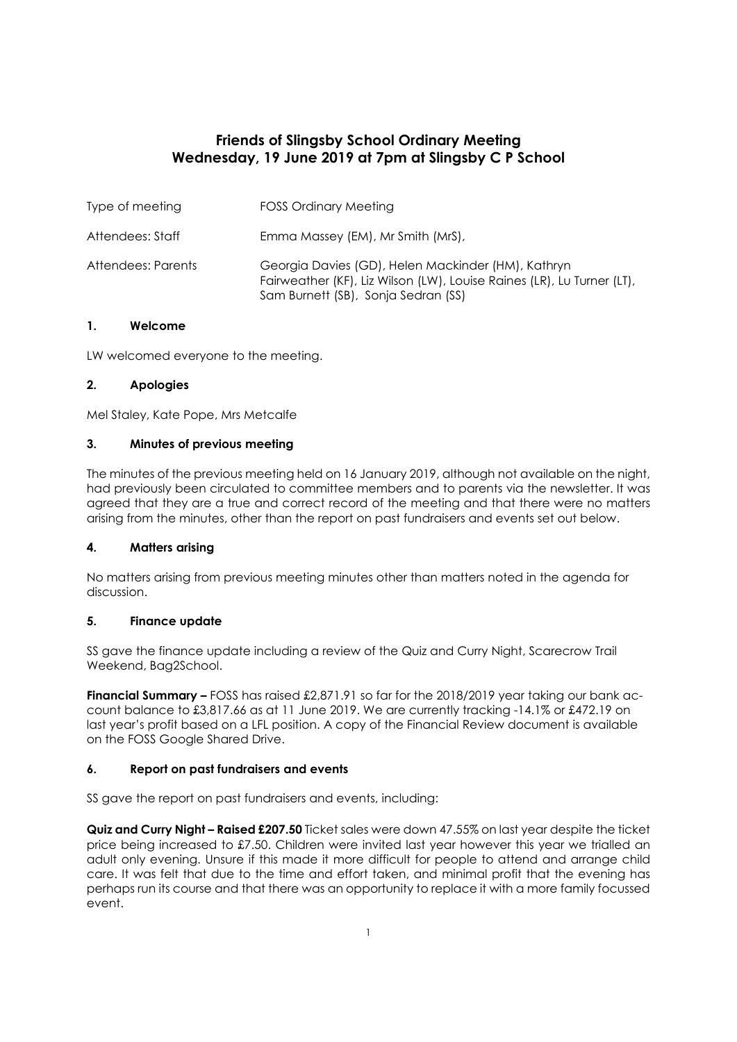# **Friends of Slingsby School Ordinary Meeting Wednesday, 19 June 2019 at 7pm at Slingsby C P School**

| Type of meeting    | <b>FOSS Ordinary Meeting</b>                                                                                                                                        |
|--------------------|---------------------------------------------------------------------------------------------------------------------------------------------------------------------|
| Attendees: Staff   | Emma Massey (EM), Mr Smith (MrS),                                                                                                                                   |
| Attendees: Parents | Georgia Davies (GD), Helen Mackinder (HM), Kathryn<br>Fairweather (KF), Liz Wilson (LW), Louise Raines (LR), Lu Turner (LT),<br>Sam Burnett (SB), Sonja Sedran (SS) |

# **1. Welcome**

LW welcomed everyone to the meeting.

# **2. Apologies**

Mel Staley, Kate Pope, Mrs Metcalfe

#### **3. Minutes of previous meeting**

The minutes of the previous meeting held on 16 January 2019, although not available on the night, had previously been circulated to committee members and to parents via the newsletter. It was agreed that they are a true and correct record of the meeting and that there were no matters arising from the minutes, other than the report on past fundraisers and events set out below.

# **4. Matters arising**

No matters arising from previous meeting minutes other than matters noted in the agenda for discussion.

# **5. Finance update**

SS gave the finance update including a review of the Quiz and Curry Night, Scarecrow Trail Weekend, Bag2School.

**Financial Summary –** FOSS has raised £2,871.91 so far for the 2018/2019 year taking our bank account balance to £3,817.66 as at 11 June 2019. We are currently tracking -14.1% or £472.19 on last year's profit based on a LFL position. A copy of the Financial Review document is available on the FOSS Google Shared Drive.

# **6. Report on past fundraisers and events**

SS gave the report on past fundraisers and events, including:

**Quiz and Curry Night – Raised £207.50** Ticket sales were down 47.55% on last year despite the ticket price being increased to £7.50. Children were invited last year however this year we trialled an adult only evening. Unsure if this made it more difficult for people to attend and arrange child care. It was felt that due to the time and effort taken, and minimal profit that the evening has perhaps run its course and that there was an opportunity to replace it with a more family focussed event.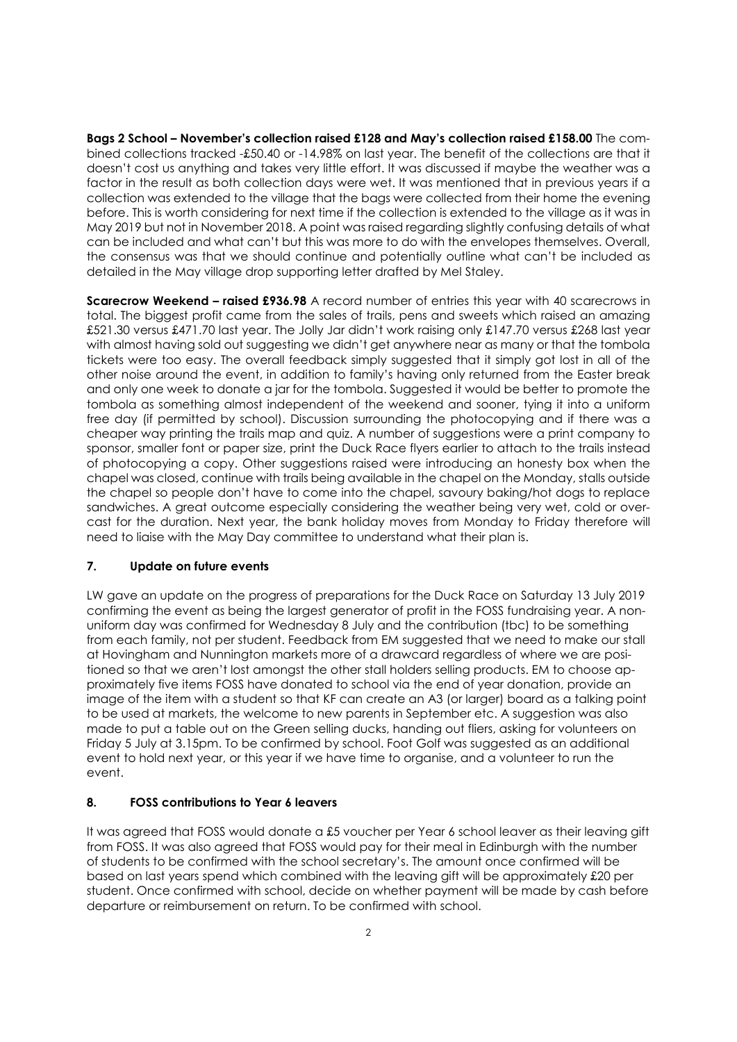**Bags 2 School – November's collection raised £128 and May's collection raised £158.00** The combined collections tracked -£50.40 or -14.98% on last year. The benefit of the collections are that it doesn't cost us anything and takes very little effort. It was discussed if maybe the weather was a factor in the result as both collection days were wet. It was mentioned that in previous years if a collection was extended to the village that the bags were collected from their home the evening before. This is worth considering for next time if the collection is extended to the village as it was in May 2019 but not in November 2018. A point was raised regarding slightly confusing details of what can be included and what can't but this was more to do with the envelopes themselves. Overall, the consensus was that we should continue and potentially outline what can't be included as detailed in the May village drop supporting letter drafted by Mel Staley.

**Scarecrow Weekend – raised £936.98** A record number of entries this year with 40 scarecrows in total. The biggest profit came from the sales of trails, pens and sweets which raised an amazing £521.30 versus £471.70 last year. The Jolly Jar didn't work raising only £147.70 versus £268 last year with almost having sold out suggesting we didn't get anywhere near as many or that the tombola tickets were too easy. The overall feedback simply suggested that it simply got lost in all of the other noise around the event, in addition to family's having only returned from the Easter break and only one week to donate a jar for the tombola. Suggested it would be better to promote the tombola as something almost independent of the weekend and sooner, tying it into a uniform free day (if permitted by school). Discussion surrounding the photocopying and if there was a cheaper way printing the trails map and quiz. A number of suggestions were a print company to sponsor, smaller font or paper size, print the Duck Race flyers earlier to attach to the trails instead of photocopying a copy. Other suggestions raised were introducing an honesty box when the chapel was closed, continue with trails being available in the chapel on the Monday, stalls outside the chapel so people don't have to come into the chapel, savoury baking/hot dogs to replace sandwiches. A great outcome especially considering the weather being very wet, cold or overcast for the duration. Next year, the bank holiday moves from Monday to Friday therefore will need to liaise with the May Day committee to understand what their plan is.

# **7. Update on future events**

LW gave an update on the progress of preparations for the Duck Race on Saturday 13 July 2019 confirming the event as being the largest generator of profit in the FOSS fundraising year. A nonuniform day was confirmed for Wednesday 8 July and the contribution (tbc) to be something from each family, not per student. Feedback from EM suggested that we need to make our stall at Hovingham and Nunnington markets more of a drawcard regardless of where we are positioned so that we aren't lost amongst the other stall holders selling products. EM to choose approximately five items FOSS have donated to school via the end of year donation, provide an image of the item with a student so that KF can create an A3 (or larger) board as a talking point to be used at markets, the welcome to new parents in September etc. A suggestion was also made to put a table out on the Green selling ducks, handing out fliers, asking for volunteers on Friday 5 July at 3.15pm. To be confirmed by school. Foot Golf was suggested as an additional event to hold next year, or this year if we have time to organise, and a volunteer to run the event.

# **8. FOSS contributions to Year 6 leavers**

It was agreed that FOSS would donate a £5 voucher per Year 6 school leaver as their leaving gift from FOSS. It was also agreed that FOSS would pay for their meal in Edinburgh with the number of students to be confirmed with the school secretary's. The amount once confirmed will be based on last years spend which combined with the leaving gift will be approximately £20 per student. Once confirmed with school, decide on whether payment will be made by cash before departure or reimbursement on return. To be confirmed with school.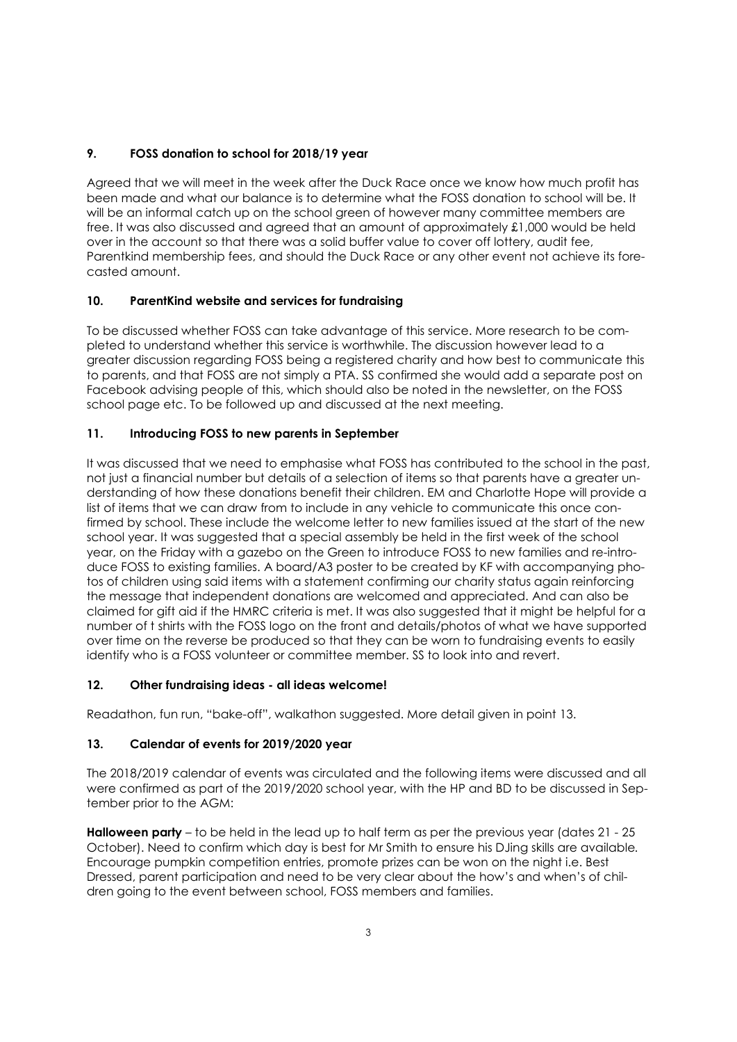# **9. FOSS donation to school for 2018/19 year**

Agreed that we will meet in the week after the Duck Race once we know how much profit has been made and what our balance is to determine what the FOSS donation to school will be. It will be an informal catch up on the school green of however many committee members are free. It was also discussed and agreed that an amount of approximately £1,000 would be held over in the account so that there was a solid buffer value to cover off lottery, audit fee, Parentkind membership fees, and should the Duck Race or any other event not achieve its forecasted amount.

# **10. ParentKind website and services for fundraising**

To be discussed whether FOSS can take advantage of this service. More research to be completed to understand whether this service is worthwhile. The discussion however lead to a greater discussion regarding FOSS being a registered charity and how best to communicate this to parents, and that FOSS are not simply a PTA. SS confirmed she would add a separate post on Facebook advising people of this, which should also be noted in the newsletter, on the FOSS school page etc. To be followed up and discussed at the next meeting.

# **11. Introducing FOSS to new parents in September**

It was discussed that we need to emphasise what FOSS has contributed to the school in the past, not just a financial number but details of a selection of items so that parents have a greater understanding of how these donations benefit their children. EM and Charlotte Hope will provide a list of items that we can draw from to include in any vehicle to communicate this once confirmed by school. These include the welcome letter to new families issued at the start of the new school year. It was suggested that a special assembly be held in the first week of the school year, on the Friday with a gazebo on the Green to introduce FOSS to new families and re-introduce FOSS to existing families. A board/A3 poster to be created by KF with accompanying photos of children using said items with a statement confirming our charity status again reinforcing the message that independent donations are welcomed and appreciated. And can also be claimed for gift aid if the HMRC criteria is met. It was also suggested that it might be helpful for a number of t shirts with the FOSS logo on the front and details/photos of what we have supported over time on the reverse be produced so that they can be worn to fundraising events to easily identify who is a FOSS volunteer or committee member. SS to look into and revert.

# **12. Other fundraising ideas - all ideas welcome!**

Readathon, fun run, "bake-off", walkathon suggested. More detail given in point 13.

# **13. Calendar of events for 2019/2020 year**

The 2018/2019 calendar of events was circulated and the following items were discussed and all were confirmed as part of the 2019/2020 school year, with the HP and BD to be discussed in September prior to the AGM:

**Halloween party** – to be held in the lead up to half term as per the previous year (dates 21 - 25 October). Need to confirm which day is best for Mr Smith to ensure his DJing skills are available*.* Encourage pumpkin competition entries, promote prizes can be won on the night i.e. Best Dressed, parent participation and need to be very clear about the how's and when's of children going to the event between school, FOSS members and families.